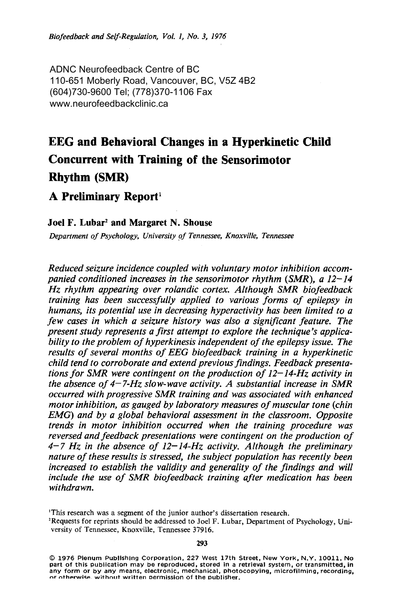*Biofeedback and Self-Regulation, Vol. 1, No. 3, 1976* 

ADNC Neurofeedback Centre of BC 110-651 Moberly Road, Vancouver, BC, V5Z 4B2 (604)730-9600 Tel; (778)370-1106 Fax www.neurofeedbackclinic.ca

# **EEG and Behavioral Changes in a Hyperkinetic Child Concurrent with Training of the Sensorimotor Rhythm (SMR)**

**A Preliminary Report**<sup>1</sup>

## **Joel F. Lubar<sup>2</sup> and Margaret N. Shouse**

*Department of Psychology, University of Tennessee, Knoxville, Tennessee* 

*Reduced seizure incidence coupled with voluntary motor inhibition accompanied conditioned increases in the sensorimotor rhythm (SMR), a 12-14 Hz rhythm appearing over rolandic cortex. Although SMR biofeedback training has been successfully applied to various forms of epilepsy in humans, its potential use in decreasing hyperactivity has been limited to a few cases in which a seizure history was also a significant feature. The present study represents a first attempt to explore the technique's applicability to the problem of hyperkinesis independent of the epilepsy issue. The results of several months of EEG biofeedback training in a hyperkinetic child tend to corroborate and extend previous findings. Feedback presentations for SMR were contingent on the production of 12-14-Hz activity in the absence of 4- 7-Hz slow-wave activity. A substantial increase in SMR occurred with progressive SMR training and was associated with enhanced motor inhibition, as gauged by laboratory measures of muscular tone (chin EMG) and by a global behavioral assessment in the classroom. Opposite trends in motor inhibition occurred when the training procedure was reversed and feedback presentations were contingent on the production of 4-7 Hz in the absence of 12-14-Hz activity. Although the preliminary nature of these results is stressed, the subject population has recently been increased to establish the validity and generality of the findings and will include the use of SMR biofeedback training after medication has been withdrawn.* 

© 1976 Plenum Publishing Corporation, 227 West 17th Street, New York, N.Y. 10011. No **part** of this **publication may be reproduced, stored** in a **retrieval system, or transmitted,** in **any** form or by any means, electronic, mechanical, photocopying, **microfilming, recording,**  or otherwise, without written permission of the publisher.

<sup>~</sup>This research was a segment of the junior author's dissertation research.

<sup>2</sup>Requests for reprints should be addressed to Joel F. Lubar, Department of Psychology, University of Tennessee, Knoxville, Tennessee 37916.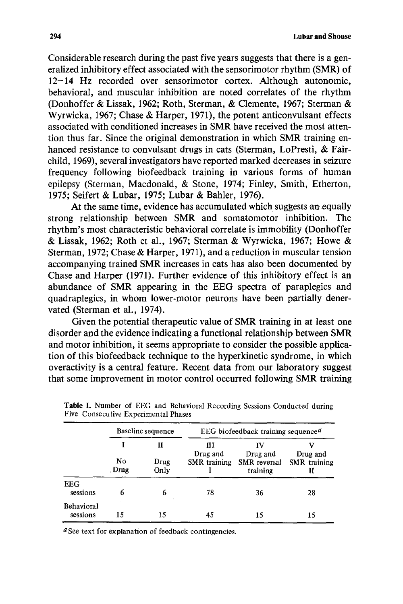Considerable research during the past five years suggests that there is a generalized inhibitory effect associated with the sensorimotor rhythm (SMR) of 12-14 Hz recorded over sensorimotor cortex. Although autonomic, behavioral, and muscular inhibition are noted correlates of the rhythm (Donhoffer & Lissak, 1962; Roth, Sterman, & Clemente, 1967; Sterman & Wyrwicka, 1967; Chase & Harper, 1971), the potent anticonvulsant effects associated with conditioned increases in SMR have received the most attention thus far. Since the original demonstration in which SMR training enhanced resistance to convulsant drugs in cats (Sterman, LoPresti, & Fairchild, 1969), several investigators have reported marked decreases in seizure frequency following biofeedback training in various forms of human epilepsy (Sterman, Macdonald, & Stone, 1974; Finley, Smith, Etherton, 1975; Seifert & Lubar, 1975; Lubar & Bahler, 1976).

At the same time, evidence has accumulated which suggests an equally strong relationship between SMR and somatomotor inhibition. The rhythm's most characteristic behavioral correlate is immobility (Donhoffer & Lissak, 1962; Roth et al., 1967; Sterman & Wyrwicka, 1967; Howe & Sterman, 1972; Chase & Harper, 1971), and a reduction in muscular tension accompanying trained SMR increases in cats has also been documented by Chase and Harper (1971). Further evidence of this inhibitory effect is an abundance of SMR appearing in the EEG spectra of paraplegics and quadraplegics, in whom lower-motor neurons have been partially denervated (Sterman et al., 1974).

Given the potential therapeutic value of SMR training in at least one disorder and the evidence indicating a functional relationship between SMR and motor inhibition, it seems appropriate to consider the possible application of this biofeedback technique to the hyperkinetic syndrome, in which overactivity is a central feature. Recent data from our laboratory suggest that some improvement in motor control occurred following SMR training

|                        | Baseline sequence |              | EEG biofeedback training sequence <sup><math>a</math></sup> |                                            |                               |
|------------------------|-------------------|--------------|-------------------------------------------------------------|--------------------------------------------|-------------------------------|
|                        |                   | Н            | ПΙ<br>Drug and<br><b>SMR</b> training                       | īV<br>Drug and<br>SMR reversal<br>training | Drug and<br>SMR training<br>н |
|                        | No<br>Drug        | Drug<br>Only |                                                             |                                            |                               |
| <b>EEG</b><br>sessions | 6                 | 6            | 78                                                          | 36                                         | 28                            |
| Behavioral<br>sessions | 15                | 15           | 45                                                          | 15                                         | 15                            |

**Table** I. Number of EEG and Behavioral Recording Sessions Conducted during Five Consecutive Experimental Phases

a See text for explanation of feedback contingencies.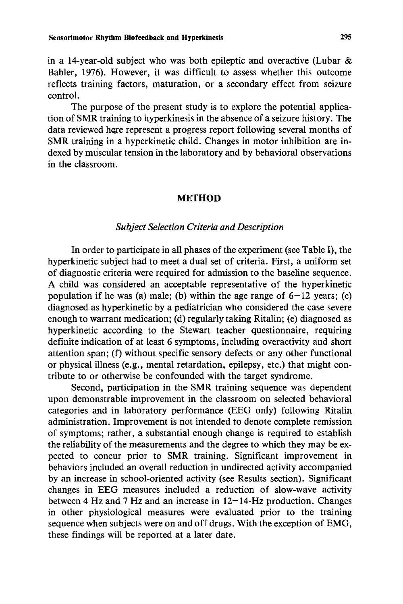in a 14-year-old subject who was both epileptic and overactive (Lubar  $\&$ Bahler, 1976). However, it was difficult to assess whether this outcome reflects training factors, maturation, or a secondary effect from seizure control.

The purpose of the present study is to explore the potential application of SMR training to hyperkinesis in the absence of a seizure history. The data reviewed hege represent a progress report following several months of SMR training in a hyperkinetic child. Changes in motor inhibition are indexed by muscular tension in the laboratory and by behavioral observations in the classroom.

## **METHOD**

#### *Subject Selection Criteria and Description*

In order to participate in all phases of the experiment (see Table I), the hyperkinetic subject had to meet a dual set of criteria. First, a uniform set of diagnostic criteria were required for admission to the baseline sequence. A child was considered an acceptable representative of the hyperkinetic population if he was (a) male; (b) within the age range of  $6-12$  years; (c) diagnosed as hyperkinetic by a pediatrician who considered the case severe enough to warrant medication; (d) regularly taking Ritalin; (e) diagnosed as hyperkinetic according to the Stewart teacher questionnaire, requiring definite indication of at least 6 symptoms, including overactivity and short attention span; (f) without specific sensory defects or any other functional or physical illness (e.g., mental retardation, epilepsy, etc.) that might contribute to or otherwise be confounded with the target syndrome.

Second, participation in the SMR training sequence was dependent upon demonstrable improvement in the classroom on selected behavioral categories and in laboratory performance (EEG only) following Ritalin administration. Improvement is not intended to denote complete remission of symptoms; rather, a substantial enough change is required to establish the reliability of the measurements and the degree to which they may be expected to concur prior to SMR training. Significant improvement in behaviors included an overall reduction in undirected activity accompanied by an increase in school-oriented activity (see Results section). Significant changes in EEG measures included a reduction of slow-wave activity between 4 Hz and 7 Hz and an increase in  $12-14$ -Hz production. Changes in other physiological measures were evaluated prior to the training sequence when subjects were on and off drugs. With the exception of EMG, these findings will be reported at a later date.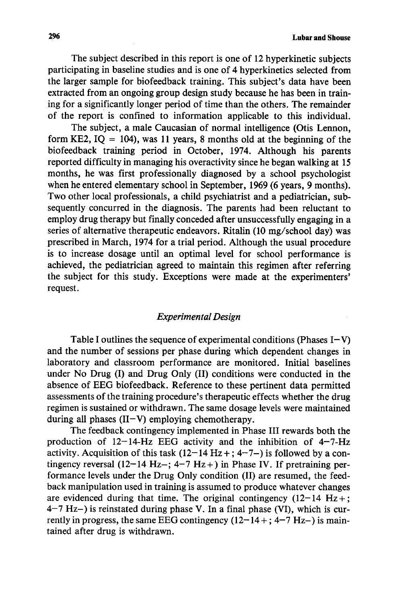The subject described in this report is one of 12 hyperkinetic subjects participating in baseline studies and is one of 4 hyperkinetics selected from the larger sample for biofeedback training. This subject's data have been extracted from an ongoing group design study because he has been in training for a significantly longer period of time than the others. The remainder of the report is confined to information applicable to this individual.

The subject, a male Caucasian of normal intelligence (Otis Lennon, form KE2,  $IQ = 104$ , was 11 years, 8 months old at the beginning of the biofeedback training period in October, 1974. Although his parents reported difficulty in managing his overactivity since he began walking at 15 months, he was first professionally diagnosed by a school psychologist when he entered elementary school in September, 1969 (6 years, 9 months). Two other local professionals, a child psychiatrist and a pediatrician, subsequently concurred in the diagnosis. The parents had been reluctant to employ drug therapy but finally conceded after unsuccessfully engaging in a series of alternative therapeutic endeavors. Ritalin (10 mg/school day) was prescribed in March, 1974 for a trial period. Although the usual procedure is to increase dosage until an optimal level for school performance is achieved, the pediatrician agreed to maintain this regimen after referring the subject for this study. Exceptions were made at the experimenters' request.

### *Experimental Design*

Table I outlines the sequence of experimental conditions (Phases  $I-V$ ) and the number of sessions per phase during which dependent changes in laboratory and classroom performance are monitored. Initial baselines under No Drug (I) and Drug Only (II) conditions were conducted in the absence of EEG biofeedback. Reference to these pertinent data permitted assessments of the training procedure's therapeutic effects whether the drug regimen is sustained or withdrawn. The same dosage levels were maintained during all phases (II-V) employing chemotherapy.

The feedback contingency implemented in Phase III rewards both the production of  $12-14-Hz$  EEG activity and the inhibition of  $4-7-Hz$ activity. Acquisition of this task  $(12-14 \text{ Hz} + ; 4-7-)$  is followed by a contingency reversal  $(12-14 \text{ Hz} -; 4-7 \text{ Hz} +)$  in Phase IV. If pretraining performance levels under the Drug Only condition (II) are resumed, the feedback manipulation used in training is assumed to produce whatever changes are evidenced during that time. The original contingency  $(12-14 \text{ Hz} +$ ;  $4-7$  Hz-) is reinstated during phase V. In a final phase (VI), which is currently in progress, the same EEG contingency  $(12-14 + 34-7)$  is maintained after drug is withdrawn.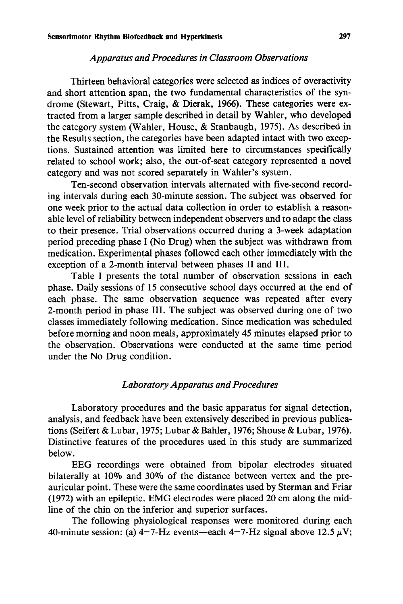#### *Apparatus and Procedures in Classroom Observations*

Thirteen behavioral categories were selected as indices of overactivity and short attention span, the two fundamental characteristics of the syndrome (Stewart, Pitts, Craig, & Dierak, 1966). These categories were extracted from a larger sample described in detail by Wahler, who developed the category system (Wahler, House, & Stanbaugh, 1975). As described in the Results section, the categories have been adapted intact with two exceptions. Sustained attention was limited here to circumstances specifically related to school work; also, the out-of-seat category represented a novel category and was not scored separately in Wahler's system.

Ten-second observation intervals alternated with five-second recording intervals during each 30-minute session. The subject was observed for one week prior to the actual data collection in order to establish a reasonable level of reliability between independent observers and to adapt the class to their presence. Trial observations occurred during a 3-week adaptation period preceding phase I (No Drug) when the subject was withdrawn from medication. Experimental phases followed each other immediately with the exception of a 2-month interval between phases II and III.

Table I presents the total number of observation sessions in each phase. Daily sessions of 15 consecutive school days occurred at the end of each phase. The same observation sequence was repeated after every 2-month period in phase III. The subject was observed during one of two classes immediately following medication. Since medication was scheduled before morning and noon meals, approximately 45 minutes elapsed prior to the observation. Observations were conducted at the same time period under the No Drug condition.

#### *Laboratory Apparatus and Procedures*

Laboratory procedures and the basic apparatus for signal detection, analysis, and feedback have been extensively described in previous publications (Seifert & Lubar, 1975; Lubar & Bahler, 1976; Shouse & Lubar, 1976). Distinctive features of the procedures used in this study are summarized below.

EEG recordings were obtained from bipolar electrodes situated bilaterally at  $10\%$  and  $30\%$  of the distance between vertex and the preauricular point. These were the same coordinates used by Sterman and Friar (1972) with an epileptic. EMG electrodes were placed 20 cm along the midline of the chin on the inferior and superior surfaces.

The following physiological responses were monitored during each 40-minute session: (a)  $4-7$ -Hz events—each  $4-7$ -Hz signal above 12.5  $\mu$ V;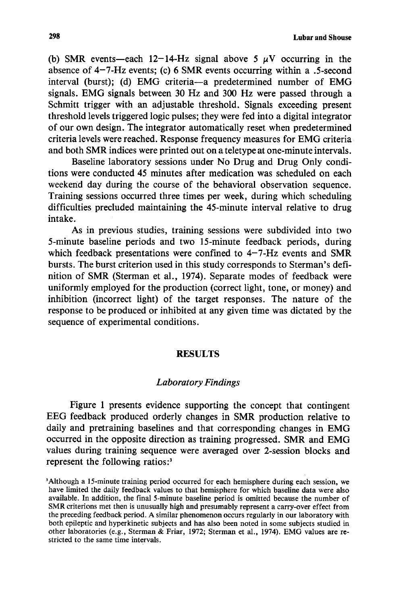**298 Lubar and Shouse** 

(b) SMR events-each 12-14-Hz signal above 5  $\mu$ V occurring in the absence of  $4-7$ -Hz events; (c) 6 SMR events occurring within a .5-second interval (burst); (d) EMG criteria-a predetermined number of EMG signals. EMG signals between 30 Hz and 300 Hz were passed through a Schmitt trigger with an adjustable threshold. Signals exceeding present threshold levels triggered logic pulses; they were fed into a digital integrator of our own design. The integrator automatically reset when predetermined criteria levels were reached. Response frequency measures for EMG criteria and both SMR indices were printed out on a teletype at one-minute intervals.

Baseline laboratory sessions under No Drug and Drug Only conditions were conducted 45 minutes after medication was scheduled on each weekend day during the course of the behavioral observation sequence. Training sessions occurred three times per week, during which scheduling difficulties precluded maintaining the 45-minute interval relative to drug intake.

As in previous studies, training sessions were subdivided into two 5-minute baseline periods and two 15-minute feedback periods, during which feedback presentations were confined to  $4-7$ -Hz events and SMR bursts. The burst criterion used in this study corresponds to Sterman's definition of SMR (Sterman et al., 1974). Separate modes of feedback were uniformly employed for the production (correct light, tone, or money) and inhibition (incorrect light) of the target responses. The nature of the response to be produced or inhibited at any given time was dictated by the sequence of experimental conditions.

#### RESULTS

### *Laboratory Findings*

Figure 1 presents evidence supporting the concept that contingent EEG feedback produced orderly changes in SMR production relative to daily and pretraining baselines and that corresponding changes in EMG occurred in the opposite direction as training progressed. SMR and EMG values during training sequence were averaged over 2-session blocks and represent the following ratios:<sup>3</sup>

<sup>3</sup>Although a 15-minute training period occurred for each hemisphere during each session, we have limited the daily feedback values to that hemisphere for which baseline data were also available. In addition, the final 5-minute baseline period is omitted because the number of SMR criterions met then is unusually high and presumably represent a carry-over effect from the preceding feedback period. A similar phenomenon occurs regularly in our laboratory with both epileptic and hyperkinetic subjects and has also been noted in some subjects studied in other laboratories (e.g., Sterman & Friar, 1972; Sterman et ai., 1974). EMG values are restricted to the same time intervals.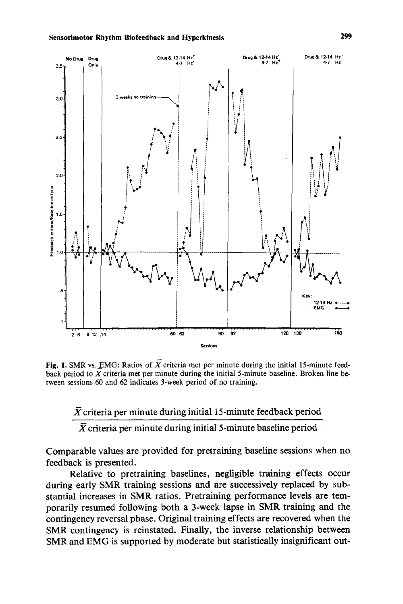

Fig. 1. SMR vs. EMG: Ratios of  $\overline{X}$  criteria met per minute during the initial 15-minute feedback period to  $\overline{X}$  criteria met per minute during the initial 5-minute baseline. Broken line be**tween sessions 60 and 62 indicates 3-week period of no training.** 

 $\overline{X}$  criteria per minute during initial 15-minute feedback period  $\overline{X}$  criteria per minute during initial 5-minute baseline period

**Comparable values are provided for pretraining baseline sessions when no feedback is presented.** 

**Relative to pretraining baselines, negligible training effects occur during early SMR training sessions and are successively replaced by substantial increases in SMR ratios. Pretraining performance levels are temporarily resumed following both a 3-week lapse in SMR training and the contingency reversal phase. Original training effects are recovered when the SMR contingency is reinstated. Finally, the inverse relationship between SMR and EMG is supported by moderate but statistically insignificant out-**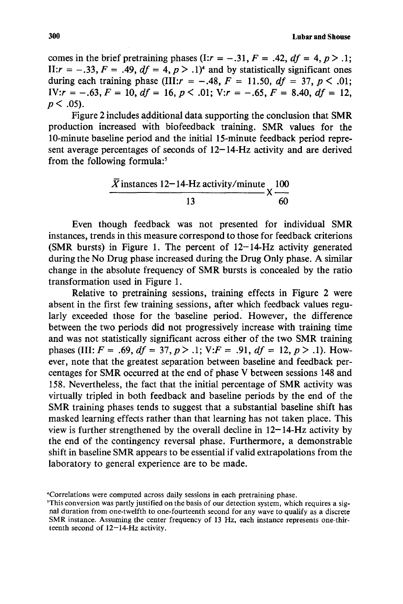comes in the brief pretraining phases  $(I:r = -.31, F = .42, df = 4, p > .1;$ II: $r = -.33$ ,  $F = .49$ ,  $df = 4$ ,  $p > .1$ <sup>4</sup> and by statistically significant ones during each training phase (III: $r = -.48$ ,  $F = 11.50$ ,  $df = 37$ ,  $p < .01$ ; IV: $r = -.63$ ,  $F = 10$ ,  $df = 16$ ,  $p < .01$ ; V: $r = -.65$ ,  $F = 8.40$ ,  $df = 12$ ,  $p < .05$ ).

Figure 2 includes additional data supporting the conclusion that SMR production increased with biofeedback training. SMR values for the 10-minute baseline period and the initial 15-minute feedback period represent average percentages of seconds of 12-14-Hz activity and are derived from the following formula:<sup>5</sup>

$$
\frac{\overline{X} \text{ instances } 12-14\text{-Hz activity/minute}}{13} \times \frac{100}{60}
$$

Even though feedback was not presented for individual SMR instances, trends in this measure correspond to those for feedback criterions (SMR bursts) in Figure 1. The percent of  $12-14$ -Hz activity generated during the No Drug phase increased during the Drug Only phase. A similar change in the absolute frequency of SMR bursts is concealed by the ratio transformation used in Figure 1.

Relative to pretraining sessions, training effects in Figure 2 were absent in the first few training sessions, after which feedback values regularly exceeded those for the baseline period. However, the difference between the two periods did not progressively increase with training time and was not statistically significant across either of the two SMR training phases (III:  $F = .69$ ,  $df = 37$ ,  $p > .1$ ;  $V: F = .91$ ,  $df = 12$ ,  $p > .1$ ). However, note that the greatest separation between baseline and feedback percentages for SMR occurred at the end of phase V between sessions 148 and 158. Nevertheless, the fact that the initial percentage of SMR activity was virtually tripled in both feedback and baseline periods by the end of the SMR training phases tends to suggest that a substantial baseline shift has masked learning effects rather than that learning has not taken place. This view is further strengthened by the overall decline in  $12-14-Hz$  activity by the end of the contingency reversal phase. Furthermore, a demonstrable shift in baseline SMR appears to be essential if valid extrapolations from the laboratory to general experience are to be made.

<sup>4</sup>Correlations were computed across daily sessions in each pretraining phase.

<sup>5</sup>This conversion was partly justified on the basis of our detection system, which requires a signal duration from one-twelfth to one-fourteenth second for any wave to qualify as a discrete SMR instance. Assuming the center frequency of 13 Hz, each instance represents one-thirteenth second of 12-14-Hz activity.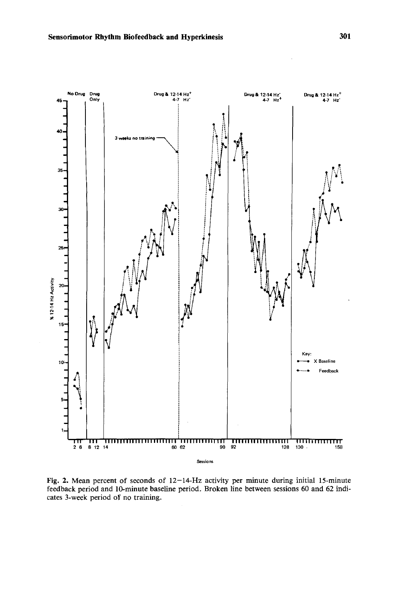

Fig. 2. Mean percent of seconds of  $12-14-Hz$  activity per minute during initial 15-minute feedback period and 10-minute baseline period. Broken line between sessions 60 and 62 indicates 3-week period oF no training.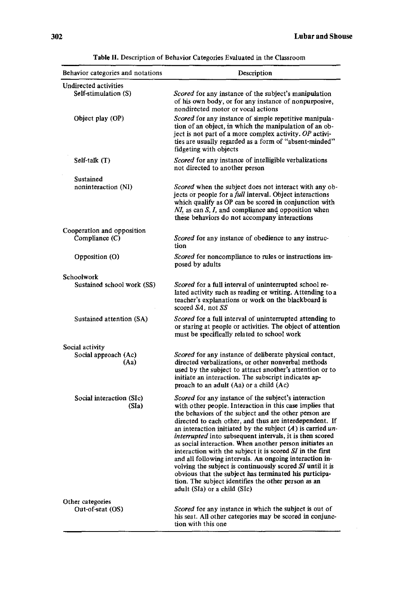| Behavior categories and notations             | Description                                                                                                                                                                                                                                                                                                                                                                                                                                                                                                                                                                                                                                                                                                                                                         |  |  |
|-----------------------------------------------|---------------------------------------------------------------------------------------------------------------------------------------------------------------------------------------------------------------------------------------------------------------------------------------------------------------------------------------------------------------------------------------------------------------------------------------------------------------------------------------------------------------------------------------------------------------------------------------------------------------------------------------------------------------------------------------------------------------------------------------------------------------------|--|--|
| Undirected activities<br>Self-stimulation (S) | Scored for any instance of the subject's manipulation<br>of his own body, or for any instance of nonpurposive,<br>nondirected motor or vocal actions                                                                                                                                                                                                                                                                                                                                                                                                                                                                                                                                                                                                                |  |  |
| Object play (OP)                              | Scored for any instance of simple repetitive manipula-<br>tion of an object, in which the manipulation of an ob-<br>ject is not part of a more complex activity. OP activi-<br>ties are usually regarded as a form of "absent-minded"<br>fidgeting with objects                                                                                                                                                                                                                                                                                                                                                                                                                                                                                                     |  |  |
| Self-talk (T)                                 | Scored for any instance of intelligible verbalizations<br>not directed to another person                                                                                                                                                                                                                                                                                                                                                                                                                                                                                                                                                                                                                                                                            |  |  |
| Sustained                                     |                                                                                                                                                                                                                                                                                                                                                                                                                                                                                                                                                                                                                                                                                                                                                                     |  |  |
| noninteraction (NI)                           | Scored when the subject does not interact with any ob-<br>jects or people for a full interval. Object interactions<br>which qualify as OP can be scored in conjunction with<br>$NI$ , as can $S$ , $I$ , and compliance and opposition when<br>these behaviors do not accompany interactions                                                                                                                                                                                                                                                                                                                                                                                                                                                                        |  |  |
| Cooperation and opposition<br>Compliance (C)  | Scored for any instance of obedience to any instruc-<br>tion                                                                                                                                                                                                                                                                                                                                                                                                                                                                                                                                                                                                                                                                                                        |  |  |
| Opposition (O)                                | Scored for noncompliance to rules or instructions im-<br>posed by adults                                                                                                                                                                                                                                                                                                                                                                                                                                                                                                                                                                                                                                                                                            |  |  |
| Schoolwork                                    |                                                                                                                                                                                                                                                                                                                                                                                                                                                                                                                                                                                                                                                                                                                                                                     |  |  |
| Sustained school work (SS)                    | Scored for a full interval of uninterrupted school re-<br>lated activity such as reading or writing. Attending to a<br>teacher's explanations or work on the blackboard is<br>scored SA, not SS                                                                                                                                                                                                                                                                                                                                                                                                                                                                                                                                                                     |  |  |
| Sustained attention (SA)                      | Scored for a full interval of uninterrupted attending to<br>or staring at people or activities. The object of attention<br>must be specifically related to school work                                                                                                                                                                                                                                                                                                                                                                                                                                                                                                                                                                                              |  |  |
| Social activity                               |                                                                                                                                                                                                                                                                                                                                                                                                                                                                                                                                                                                                                                                                                                                                                                     |  |  |
| Social approach (Ac)<br>(Aa)                  | Scored for any instance of deliberate physical contact,<br>directed verbalizations, or other nonverbal methods<br>used by the subject to attract another's attention or to<br>initiate an interaction. The subscript indicates ap-<br>proach to an adult (Aa) or a child (Ac)                                                                                                                                                                                                                                                                                                                                                                                                                                                                                       |  |  |
| Social interaction (SIc)<br>(SIa)             | Scored for any instance of the subject's interaction<br>with other people. Interaction in this case implies that<br>the behaviors of the subject and the other person are<br>directed to each other, and thus are interdependent. If<br>an interaction initiated by the subject $(A)$ is carried un-<br>interrupted into subsequent intervals, it is then scored<br>as social interaction. When another person initiates an<br>interaction with the subject it is scored SI in the first<br>and all following intervals. An ongoing interaction in-<br>volving the subject is continuously scored $SI$ until it is<br>obvious that the subject has terminated his participa-<br>tion. The subject identifies the other person as an<br>adult (SIa) or a child (SIc) |  |  |
| Other categories<br>Out-of-seat (OS)          | Scored for any instance in which the subject is out of<br>his seat. All other categories may be scored in conjunc-<br>tion with this one                                                                                                                                                                                                                                                                                                                                                                                                                                                                                                                                                                                                                            |  |  |

Table II. Description of Behavior Categories Evaluated in the Classroom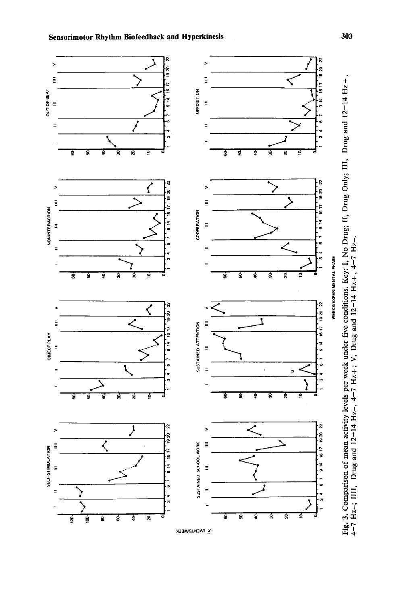

**X** EVENISWEEK

**o**  oo **~2**  r~ **ex .a?**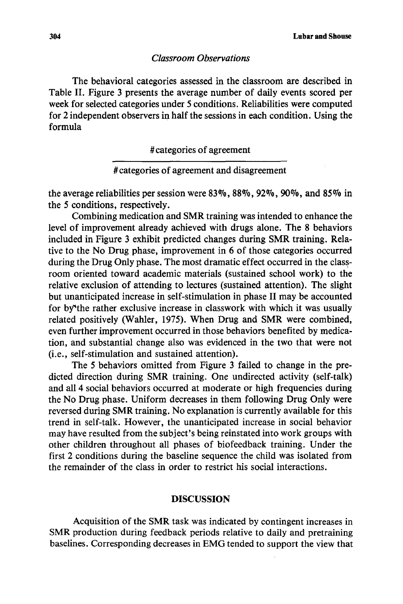#### *Classroom Observations*

The behavioral categories assessed in the classroom are described in Table II. Figure 3 presents the average number of daily events scored per week for selected categories under 5 conditions. Reliabilities were computed for 2 independent observers in half the sessions in each condition. Using the formula

# categories of agreement

## # categories of agreement and disagreement

the average reliabilities per session were  $83\%$ ,  $88\%$ ,  $92\%$ ,  $90\%$ , and  $85\%$  in the 5 conditions, respectively.

Combining medication and SMR training was intended to enhance the level of improvement already achieved with drugs alone. The 8 behaviors included in Figure 3 exhibit predicted changes during SMR training. Relative to the No Drug phase, improvement in 6 of those categories occurred during the Drug Only phase. The most dramatic effect occurred in the classroom oriented toward academic materials (sustained school work) to the relative exclusion of attending to lectures (sustained attention). The slight but unanticipated increase in self-stimulation in phase II may be accounted for by'the rather exclusive increase in classwork with which it was usually related positively (Wahler, 1975). When Drug and SMR were combined, even further improvement occurred in those behaviors benefited by medication, and substantial change also was evidenced in the two that were not (i.e., self-stimulation and sustained attention).

The 5 behaviors omitted from Figure 3 failed to change in the predicted direction during SMR training. One undirected activity (self-talk) and all 4 social behaviors occurred at moderate or high frequencies during the No Drug phase. Uniform decreases in them following Drug Only were reversed during SMR training. No explanation is currently available for this trend in self-talk. However, the unanticipated increase in social behavior may have resulted from the subject's being reinstated into work groups with other children throughout all phases of biofeedback training. Under the first 2 conditions during the baseline sequence the child was isolated from the remainder of the class in order to restrict his social interactions.

#### DISCUSSION

Acquisition of the SMR task was indicated by contingent increases in SMR production during feedback periods relative to daily and pretraining baselines. Corresponding decreases in EMG tended to support the view that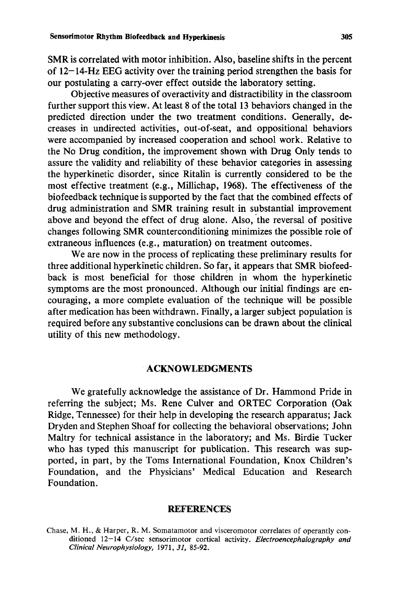SMR is correlated with motor inhibition. Also, baseline shifts in the percent of 12-14-Hz EEG activity over the training period strengthen the basis for our postulating a carry-over effect outside the laboratory setting.

Objective measures of overactivity and distractibility in the classroom further support this view. At least 8 of the total 13 behaviors changed in the predicted direction under the two treatment conditions. Generally, decreases in undirected activities, out-of-seat, and oppositional behaviors were accompanied by increased cooperation and school work. Relative to the No Drug condition, the improvement shown with Drug Only tends to assure the validity and reliability of these behavior categories in assessing the hyperkinetic disorder, since Ritalin is currently considered to be the most effective treatment (e.g., Millichap, 1968). The effectiveness of the biofeedback technique is supported by the fact that the combined effects of drug administration and SMR training result in substantial improvement above and beyond the effect of drug alone. Also, the reversal of positive changes following SMR counterconditioning minimizes the possible role of extraneous influences (e.g., maturation) on treatment outcomes.

We are now in the process of replicating these preliminary results for three additional hyperkinetic children. So far, it appears that SMR biofeedback is most beneficial for those children in whom the hyperkinetic symptoms are the most pronounced. Although our initial findings are encouraging, a more complete evaluation of the technique will be possible after medication has been withdrawn. Finally, a larger subject population is required before any substantive conclusions can be drawn about the clinical utility of this new methodology.

## ACKNOWLEDGMENTS

We gratefully acknowledge the assistance of Dr. Hammond Pride in referring the subject; Ms. Rene Culver and ORTEC Corporation (Oak Ridge, Tennessee) for their help in developing the research apparatus; Jack Dryden and Stephen Shoaf for collecting the behavioral observations; John Maltry for technical assistance in the laboratory; and Ms. Birdie Tucker who has typed this manuscript for publication. This research was supported, in part, by the Toms International Foundation, Knox Children's Foundation, and the Physicians' Medical Education and Research Foundation.

#### REFERENCES

Chase, M. H., & Harper, R. M. Somatamotor and visceromotor correlates of operantly conditioned 12-14 C/sec sensorimotor cortical activity. *Electroencephalography and Clinical Neurophysiology,* 1971, 31, 85-92.